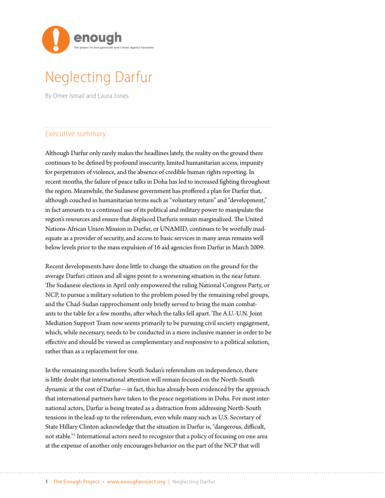

# Neglecting Darfur

By Omer Ismail and Laura Jones

# Executive summary

Although Darfur only rarely makes the headlines lately, the reality on the ground there continues to be defined by profound insecurity, limited humanitarian access, impunity for perpetrators of violence, and the absence of credible human rights reporting. In recent months, the failure of peace talks in Doha has led to increased fighting throughout the region. Meanwhile, the Sudanese government has proffered a plan for Darfur that, although couched in humanitarian terms such as "voluntary return" and "development," in fact amounts to a continued use of its political and military power to manipulate the region's resources and ensure that displaced Darfuris remain marginalized. The United Nations-African Union Mission in Darfur, or UNAMID, continues to be woefully inadequate as a provider of security, and access to basic services in many areas remains well below levels prior to the mass expulsion of 16 aid agencies from Darfur in March 2009.

Recent developments have done little to change the situation on the ground for the average Darfuri citizen and all signs point to a worsening situation in the near future. The Sudanese elections in April only empowered the ruling National Congress Party, or NCP, to pursue a military solution to the problem posed by the remaining rebel groups, and the Chad-Sudan rapprochement only briefly served to bring the main combatants to the table for a few months, after which the talks fell apart. The A.U.-U.N. Joint Mediation Support Team now seems primarily to be pursuing civil society engagement, which, while necessary, needs to be conducted in a more inclusive manner in order to be effective and should be viewed as complementary and responsive to a political solution, rather than as a replacement for one.

In the remaining months before South Sudan's referendum on independence, there is little doubt that international attention will remain focused on the North-South dynamic at the cost of Darfur—in fact, this has already been evidenced by the approach that international partners have taken to the peace negotiations in Doha. For most international actors, Darfur is being treated as a distraction from addressing North-South tensions in the lead-up to the referendum, even while many such as U.S. Secretary of State Hillary Clinton acknowledge that the situation in Darfur is, "dangerous, difficult, not stable."1 International actors need to recognize that a policy of focusing on one area at the expense of another only encourages behavior on the part of the NCP that will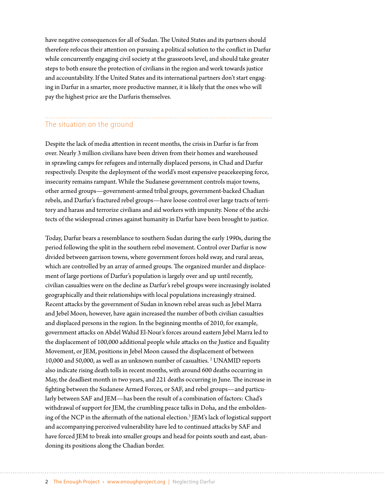have negative consequences for all of Sudan. The United States and its partners should therefore refocus their attention on pursuing a political solution to the conflict in Darfur while concurrently engaging civil society at the grassroots level, and should take greater steps to both ensure the protection of civilians in the region and work towards justice and accountability. If the United States and its international partners don't start engaging in Darfur in a smarter, more productive manner, it is likely that the ones who will pay the highest price are the Darfuris themselves.

# The situation on the ground

Despite the lack of media attention in recent months, the crisis in Darfur is far from over. Nearly 3 million civilians have been driven from their homes and warehoused in sprawling camps for refugees and internally displaced persons, in Chad and Darfur respectively. Despite the deployment of the world's most expensive peacekeeping force, insecurity remains rampant. While the Sudanese government controls major towns, other armed groups—government-armed tribal groups, government-backed Chadian rebels, and Darfur's fractured rebel groups—have loose control over large tracts of territory and harass and terrorize civilians and aid workers with impunity. None of the architects of the widespread crimes against humanity in Darfur have been brought to justice.

Today, Darfur bears a resemblance to southern Sudan during the early 1990s, during the period following the split in the southern rebel movement. Control over Darfur is now divided between garrison towns, where government forces hold sway, and rural areas, which are controlled by an array of armed groups. The organized murder and displacement of large portions of Darfur's population is largely over and up until recently, civilian casualties were on the decline as Darfur's rebel groups were increasingly isolated geographically and their relationships with local populations increasingly strained. Recent attacks by the government of Sudan in known rebel areas such as Jebel Marra and Jebel Moon, however, have again increased the number of both civilian casualties and displaced persons in the region. In the beginning months of 2010, for example, government attacks on Abdel Wahid El-Nour's forces around eastern Jebel Marra led to the displacement of 100,000 additional people while attacks on the Justice and Equality Movement, or JEM, positions in Jebel Moon caused the displacement of between 10,000 and 50,000, as well as an unknown number of casualties. 2 UNAMID reports also indicate rising death tolls in recent months, with around 600 deaths occurring in May, the deadliest month in two years, and 221 deaths occurring in June. The increase in fighting between the Sudanese Armed Forces, or SAF, and rebel groups—and particularly between SAF and JEM—has been the result of a combination of factors: Chad's withdrawal of support for JEM, the crumbling peace talks in Doha, and the emboldening of the NCP in the aftermath of the national election.<sup>3</sup> JEM's lack of logistical support and accompanying perceived vulnerability have led to continued attacks by SAF and have forced JEM to break into smaller groups and head for points south and east, abandoning its positions along the Chadian border.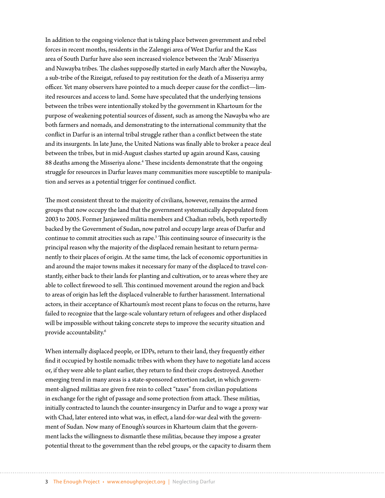In addition to the ongoing violence that is taking place between government and rebel forces in recent months, residents in the Zalengei area of West Darfur and the Kass area of South Darfur have also seen increased violence between the 'Arab' Misseriya and Nuwayba tribes. The clashes supposedly started in early March after the Nuwayba, a sub-tribe of the Rizeigat, refused to pay restitution for the death of a Misseriya army officer. Yet many observers have pointed to a much deeper cause for the conflict—limited resources and access to land. Some have speculated that the underlying tensions between the tribes were intentionally stoked by the government in Khartoum for the purpose of weakening potential sources of dissent, such as among the Nawayba who are both farmers and nomads, and demonstrating to the international community that the conflict in Darfur is an internal tribal struggle rather than a conflict between the state and its insurgents. In late June, the United Nations was finally able to broker a peace deal between the tribes, but in mid-August clashes started up again around Kass, causing 88 deaths among the Misseriya alone.<sup>4</sup> These incidents demonstrate that the ongoing struggle for resources in Darfur leaves many communities more susceptible to manipulation and serves as a potential trigger for continued conflict.

The most consistent threat to the majority of civilians, however, remains the armed groups that now occupy the land that the government systematically depopulated from 2003 to 2005. Former Janjaweed militia members and Chadian rebels, both reportedly backed by the Government of Sudan, now patrol and occupy large areas of Darfur and continue to commit atrocities such as rape.<sup>5</sup> This continuing source of insecurity is the principal reason why the majority of the displaced remain hesitant to return permanently to their places of origin. At the same time, the lack of economic opportunities in and around the major towns makes it necessary for many of the displaced to travel constantly, either back to their lands for planting and cultivation, or to areas where they are able to collect firewood to sell. This continued movement around the region and back to areas of origin has left the displaced vulnerable to further harassment. International actors, in their acceptance of Khartoum's most recent plans to focus on the returns, have failed to recognize that the large-scale voluntary return of refugees and other displaced will be impossible without taking concrete steps to improve the security situation and provide accountability.6

When internally displaced people, or IDPs, return to their land, they frequently either find it occupied by hostile nomadic tribes with whom they have to negotiate land access or, if they were able to plant earlier, they return to find their crops destroyed. Another emerging trend in many areas is a state-sponsored extortion racket, in which government-aligned militias are given free rein to collect "taxes" from civilian populations in exchange for the right of passage and some protection from attack. These militias, initially contracted to launch the counter-insurgency in Darfur and to wage a proxy war with Chad, later entered into what was, in effect, a land-for-war deal with the government of Sudan. Now many of Enough's sources in Khartoum claim that the government lacks the willingness to dismantle these militias, because they impose a greater potential threat to the government than the rebel groups, or the capacity to disarm them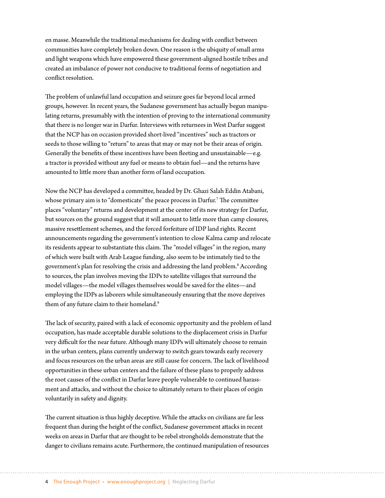en masse. Meanwhile the traditional mechanisms for dealing with conflict between communities have completely broken down. One reason is the ubiquity of small arms and light weapons which have empowered these government-aligned hostile tribes and created an imbalance of power not conducive to traditional forms of negotiation and conflict resolution.

The problem of unlawful land occupation and seizure goes far beyond local armed groups, however. In recent years, the Sudanese government has actually begun manipulating returns, presumably with the intention of proving to the international community that there is no longer war in Darfur. Interviews with returnees in West Darfur suggest that the NCP has on occasion provided short-lived "incentives" such as tractors or seeds to those willing to "return" to areas that may or may not be their areas of origin. Generally the benefits of these incentives have been fleeting and unsustainable—e.g. a tractor is provided without any fuel or means to obtain fuel—and the returns have amounted to little more than another form of land occupation.

Now the NCP has developed a committee, headed by Dr. Ghazi Salah Eddin Atabani, whose primary aim is to "domesticate" the peace process in Darfur.7 The committee places "voluntary" returns and development at the center of its new strategy for Darfur, but sources on the ground suggest that it will amount to little more than camp closures, massive resettlement schemes, and the forced forfeiture of IDP land rights. Recent announcements regarding the government's intention to close Kalma camp and relocate its residents appear to substantiate this claim. The "model villages" in the region, many of which were built with Arab League funding, also seem to be intimately tied to the government's plan for resolving the crisis and addressing the land problem.<sup>8</sup> According to sources, the plan involves moving the IDPs to satellite villages that surround the model villages—the model villages themselves would be saved for the elites—and employing the IDPs as laborers while simultaneously ensuring that the move deprives them of any future claim to their homeland.<sup>9</sup>

The lack of security, paired with a lack of economic opportunity and the problem of land occupation, has made acceptable durable solutions to the displacement crisis in Darfur very difficult for the near future. Although many IDPs will ultimately choose to remain in the urban centers, plans currently underway to switch gears towards early recovery and focus resources on the urban areas are still cause for concern. The lack of livelihood opportunities in these urban centers and the failure of these plans to properly address the root causes of the conflict in Darfur leave people vulnerable to continued harassment and attacks, and without the choice to ultimately return to their places of origin voluntarily in safety and dignity.

The current situation is thus highly deceptive. While the attacks on civilians are far less frequent than during the height of the conflict, Sudanese government attacks in recent weeks on areas in Darfur that are thought to be rebel strongholds demonstrate that the danger to civilians remains acute. Furthermore, the continued manipulation of resources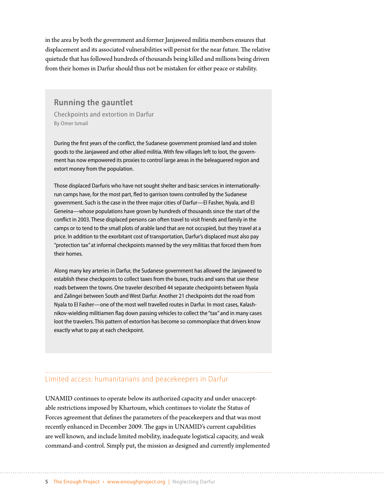in the area by both the government and former Janjaweed militia members ensures that displacement and its associated vulnerabilities will persist for the near future. The relative quietude that has followed hundreds of thousands being killed and millions being driven from their homes in Darfur should thus not be mistaken for either peace or stability.

#### **Running the gauntlet**

Checkpoints and extortion in Darfur By Omer Ismail

During the first years of the conflict, the Sudanese government promised land and stolen goods to the Janjaweed and other allied militia. With few villages left to loot, the government has now empowered its proxies to control large areas in the beleaguered region and extort money from the population.

Those displaced Darfuris who have not sought shelter and basic services in internationallyrun camps have, for the most part, fled to garrison towns controlled by the Sudanese government. Such is the case in the three major cities of Darfur—El Fasher, Nyala, and El Geneina—whose populations have grown by hundreds of thousands since the start of the conflict in 2003. These displaced persons can often travel to visit friends and family in the camps or to tend to the small plots of arable land that are not occupied, but they travel at a price. In addition to the exorbitant cost of transportation, Darfur's displaced must also pay "protection tax" at informal checkpoints manned by the very militias that forced them from their homes.

Along many key arteries in Darfur, the Sudanese government has allowed the Janjaweed to establish these checkpoints to collect taxes from the buses, trucks and vans that use these roads between the towns. One traveler described 44 separate checkpoints between Nyala and Zalingei between South and West Darfur. Another 21 checkpoints dot the road from Nyala to El Fasher—one of the most well travelled routes in Darfur. In most cases, Kalashnikov-wielding militiamen flag down passing vehicles to collect the "tax" and in many cases loot the travelers. This pattern of extortion has become so commonplace that drivers know exactly what to pay at each checkpoint.

## Limited access: humanitarians and peacekeepers in Darfur

UNAMID continues to operate below its authorized capacity and under unacceptable restrictions imposed by Khartoum, which continues to violate the Status of Forces agreement that defines the parameters of the peacekeepers and that was most recently enhanced in December 2009. The gaps in UNAMID's current capabilities are well known, and include limited mobility, inadequate logistical capacity, and weak command-and-control. Simply put, the mission as designed and currently implemented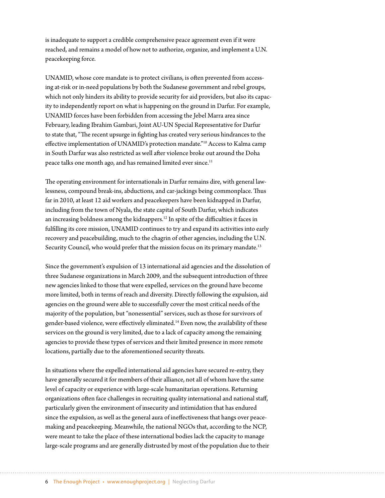is inadequate to support a credible comprehensive peace agreement even if it were reached, and remains a model of how not to authorize, organize, and implement a U.N. peacekeeping force.

UNAMID, whose core mandate is to protect civilians, is often prevented from accessing at-risk or in-need populations by both the Sudanese government and rebel groups, which not only hinders its ability to provide security for aid providers, but also its capacity to independently report on what is happening on the ground in Darfur. For example, UNAMID forces have been forbidden from accessing the Jebel Marra area since February, leading Ibrahim Gambari, Joint AU-UN Special Representative for Darfur to state that, "The recent upsurge in fighting has created very serious hindrances to the effective implementation of UNAMID's protection mandate."10 Access to Kalma camp in South Darfur was also restricted as well after violence broke out around the Doha peace talks one month ago, and has remained limited ever since.<sup>11</sup>

The operating environment for internationals in Darfur remains dire, with general lawlessness, compound break-ins, abductions, and car-jackings being commonplace. Thus far in 2010, at least 12 aid workers and peacekeepers have been kidnapped in Darfur, including from the town of Nyala, the state capital of South Darfur, which indicates an increasing boldness among the kidnappers.12 In spite of the difficulties it faces in fulfilling its core mission, UNAMID continues to try and expand its activities into early recovery and peacebuilding, much to the chagrin of other agencies, including the U.N. Security Council, who would prefer that the mission focus on its primary mandate.<sup>13</sup>

Since the government's expulsion of 13 international aid agencies and the dissolution of three Sudanese organizations in March 2009, and the subsequent introduction of three new agencies linked to those that were expelled, services on the ground have become more limited, both in terms of reach and diversity. Directly following the expulsion, aid agencies on the ground were able to successfully cover the most critical needs of the majority of the population, but "nonessential" services, such as those for survivors of gender-based violence, were effectively eliminated.14 Even now, the availability of these services on the ground is very limited, due to a lack of capacity among the remaining agencies to provide these types of services and their limited presence in more remote locations, partially due to the aforementioned security threats.

In situations where the expelled international aid agencies have secured re-entry, they have generally secured it for members of their alliance, not all of whom have the same level of capacity or experience with large-scale humanitarian operations. Returning organizations often face challenges in recruiting quality international and national staff, particularly given the environment of insecurity and intimidation that has endured since the expulsion, as well as the general aura of ineffectiveness that hangs over peacemaking and peacekeeping. Meanwhile, the national NGOs that, according to the NCP, were meant to take the place of these international bodies lack the capacity to manage large-scale programs and are generally distrusted by most of the population due to their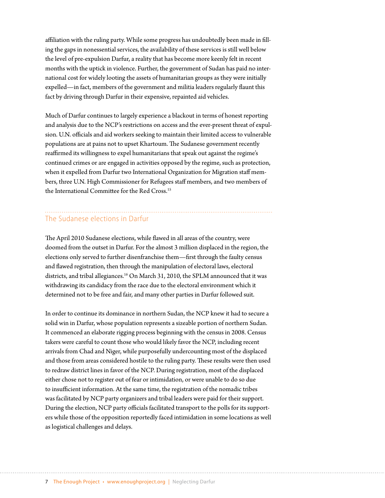affiliation with the ruling party. While some progress has undoubtedly been made in filling the gaps in nonessential services, the availability of these services is still well below the level of pre-expulsion Darfur, a reality that has become more keenly felt in recent months with the uptick in violence. Further, the government of Sudan has paid no international cost for widely looting the assets of humanitarian groups as they were initially expelled—in fact, members of the government and militia leaders regularly flaunt this fact by driving through Darfur in their expensive, repainted aid vehicles.

Much of Darfur continues to largely experience a blackout in terms of honest reporting and analysis due to the NCP's restrictions on access and the ever-present threat of expulsion. U.N. officials and aid workers seeking to maintain their limited access to vulnerable populations are at pains not to upset Khartoum. The Sudanese government recently reaffirmed its willingness to expel humanitarians that speak out against the regime's continued crimes or are engaged in activities opposed by the regime, such as protection, when it expelled from Darfur two International Organization for Migration staff members, three U.N. High Commissioner for Refugees staff members, and two members of the International Committee for the Red Cross.<sup>15</sup>

# The Sudanese elections in Darfur

The April 2010 Sudanese elections, while flawed in all areas of the country, were doomed from the outset in Darfur. For the almost 3 million displaced in the region, the elections only served to further disenfranchise them—first through the faulty census and flawed registration, then through the manipulation of electoral laws, electoral districts, and tribal allegiances.<sup>16</sup> On March 31, 2010, the SPLM announced that it was withdrawing its candidacy from the race due to the electoral environment which it determined not to be free and fair, and many other parties in Darfur followed suit.

In order to continue its dominance in northern Sudan, the NCP knew it had to secure a solid win in Darfur, whose population represents a sizeable portion of northern Sudan. It commenced an elaborate rigging process beginning with the census in 2008. Census takers were careful to count those who would likely favor the NCP, including recent arrivals from Chad and Niger, while purposefully undercounting most of the displaced and those from areas considered hostile to the ruling party. These results were then used to redraw district lines in favor of the NCP. During registration, most of the displaced either chose not to register out of fear or intimidation, or were unable to do so due to insufficient information. At the same time, the registration of the nomadic tribes was facilitated by NCP party organizers and tribal leaders were paid for their support. During the election, NCP party officials facilitated transport to the polls for its supporters while those of the opposition reportedly faced intimidation in some locations as well as logistical challenges and delays.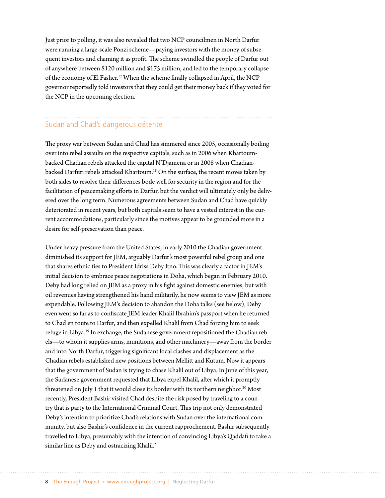Just prior to polling, it was also revealed that two NCP councilmen in North Darfur were running a large-scale Ponzi scheme—paying investors with the money of subsequent investors and claiming it as profit. The scheme swindled the people of Darfur out of anywhere between \$120 million and \$175 million, and led to the temporary collapse of the economy of El Fasher.17 When the scheme finally collapsed in April, the NCP governor reportedly told investors that they could get their money back if they voted for the NCP in the upcoming election.

## Sudan and Chad's dangerous détente

The proxy war between Sudan and Chad has simmered since 2005, occasionally boiling over into rebel assaults on the respective capitals, such as in 2006 when Khartoumbacked Chadian rebels attacked the capital N'Djamena or in 2008 when Chadianbacked Darfuri rebels attacked Khartoum.18 On the surface, the recent moves taken by both sides to resolve their differences bode well for security in the region and for the facilitation of peacemaking efforts in Darfur, but the verdict will ultimately only be delivered over the long term. Numerous agreements between Sudan and Chad have quickly deteriorated in recent years, but both capitals seem to have a vested interest in the current accommodations, particularly since the motives appear to be grounded more in a desire for self-preservation than peace.

Under heavy pressure from the United States, in early 2010 the Chadian government diminished its support for JEM, arguably Darfur's most powerful rebel group and one that shares ethnic ties to President Idriss Deby Itno. This was clearly a factor in JEM's initial decision to embrace peace negotiations in Doha, which began in February 2010. Deby had long relied on JEM as a proxy in his fight against domestic enemies, but with oil revenues having strengthened his hand militarily, he now seems to view JEM as more expendable. Following JEM's decision to abandon the Doha talks (see below), Deby even went so far as to confiscate JEM leader Khalil Ibrahim's passport when he returned to Chad en route to Darfur, and then expelled Khalil from Chad forcing him to seek refuge in Libya.19 In exchange, the Sudanese government repositioned the Chadian rebels—to whom it supplies arms, munitions, and other machinery—away from the border and into North Darfur, triggering significant local clashes and displacement as the Chadian rebels established new positions between Mellitt and Kutum. Now it appears that the government of Sudan is trying to chase Khalil out of Libya. In June of this year, the Sudanese government requested that Libya expel Khalil, after which it promptly threatened on July 1 that it would close its border with its northern neighbor.<sup>20</sup> Most recently, President Bashir visited Chad despite the risk posed by traveling to a country that is party to the International Criminal Court. This trip not only demonstrated Deby's intention to prioritize Chad's relations with Sudan over the international community, but also Bashir's confidence in the current rapprochement. Bashir subsequently travelled to Libya, presumably with the intention of convincing Libya's Qaddafi to take a similar line as Deby and ostracizing Khalil.<sup>21</sup>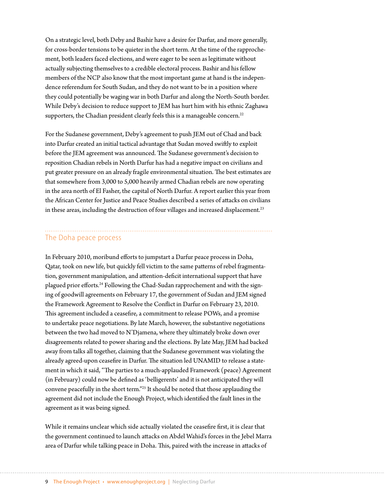On a strategic level, both Deby and Bashir have a desire for Darfur, and more generally, for cross-border tensions to be quieter in the short term. At the time of the rapprochement, both leaders faced elections, and were eager to be seen as legitimate without actually subjecting themselves to a credible electoral process. Bashir and his fellow members of the NCP also know that the most important game at hand is the independence referendum for South Sudan, and they do not want to be in a position where they could potentially be waging war in both Darfur and along the North-South border. While Deby's decision to reduce support to JEM has hurt him with his ethnic Zaghawa supporters, the Chadian president clearly feels this is a manageable concern.<sup>22</sup>

For the Sudanese government, Deby's agreement to push JEM out of Chad and back into Darfur created an initial tactical advantage that Sudan moved swiftly to exploit before the JEM agreement was announced. The Sudanese government's decision to reposition Chadian rebels in North Darfur has had a negative impact on civilians and put greater pressure on an already fragile environmental situation. The best estimates are that somewhere from 3,000 to 5,000 heavily armed Chadian rebels are now operating in the area north of El Fasher, the capital of North Darfur. A report earlier this year from the African Center for Justice and Peace Studies described a series of attacks on civilians in these areas, including the destruction of four villages and increased displacement.<sup>23</sup>

#### The Doha peace process

In February 2010, moribund efforts to jumpstart a Darfur peace process in Doha, Qatar, took on new life, but quickly fell victim to the same patterns of rebel fragmentation, government manipulation, and attention-deficit international support that have plagued prior efforts.24 Following the Chad-Sudan rapprochement and with the signing of goodwill agreements on February 17, the government of Sudan and JEM signed the Framework Agreement to Resolve the Conflict in Darfur on February 23, 2010. This agreement included a ceasefire, a commitment to release POWs, and a promise to undertake peace negotiations. By late March, however, the substantive negotiations between the two had moved to N'Djamena, where they ultimately broke down over disagreements related to power sharing and the elections. By late May, JEM had backed away from talks all together, claiming that the Sudanese government was violating the already agreed-upon ceasefire in Darfur. The situation led UNAMID to release a statement in which it said, "The parties to a much-applauded Framework (peace) Agreement (in February) could now be defined as 'belligerents' and it is not anticipated they will convene peacefully in the short term."25 It should be noted that those applauding the agreement did not include the Enough Project, which identified the fault lines in the agreement as it was being signed.

While it remains unclear which side actually violated the ceasefire first, it is clear that the government continued to launch attacks on Abdel Wahid's forces in the Jebel Marra area of Darfur while talking peace in Doha. This, paired with the increase in attacks of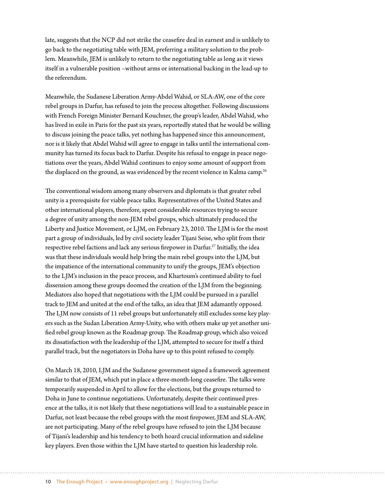late, suggests that the NCP did not strike the ceasefire deal in earnest and is unlikely to go back to the negotiating table with JEM, preferring a military solution to the problem. Meanwhile, JEM is unlikely to return to the negotiating table as long as it views itself in a vulnerable position –without arms or international backing in the lead-up to the referendum.

Meanwhile, the Sudanese Liberation Army-Abdel Wahid, or SLA-AW, one of the core rebel groups in Darfur, has refused to join the process altogether. Following discussions with French Foreign Minister Bernard Kouchner, the group's leader, Abdel Wahid, who has lived in exile in Paris for the past six years, reportedly stated that he would be willing to discuss joining the peace talks, yet nothing has happened since this announcement, nor is it likely that Abdel Wahid will agree to engage in talks until the international community has turned its focus back to Darfur. Despite his refusal to engage in peace negotiations over the years, Abdel Wahid continues to enjoy some amount of support from the displaced on the ground, as was evidenced by the recent violence in Kalma camp.<sup>26</sup>

The conventional wisdom among many observers and diplomats is that greater rebel unity is a prerequisite for viable peace talks. Representatives of the United States and other international players, therefore, spent considerable resources trying to secure a degree of unity among the non-JEM rebel groups, which ultimately produced the Liberty and Justice Movement, or LJM, on February 23, 2010. The LJM is for the most part a group of individuals, led by civil society leader Tijani Seise, who split from their respective rebel factions and lack any serious firepower in Darfur.<sup>27</sup> Initially, the idea was that these individuals would help bring the main rebel groups into the LJM, but the impatience of the international community to unify the groups, JEM's objection to the LJM's inclusion in the peace process, and Khartoum's continued ability to fuel dissension among these groups doomed the creation of the LJM from the beginning. Mediators also hoped that negotiations with the LJM could be pursued in a parallel track to JEM and united at the end of the talks, an idea that JEM adamantly opposed. The LJM now consists of 11 rebel groups but unfortunately still excludes some key players such as the Sudan Liberation Army-Unity, who with others make up yet another unified rebel group known as the Roadmap group. The Roadmap group, which also voiced its dissatisfaction with the leadership of the LJM, attempted to secure for itself a third parallel track, but the negotiators in Doha have up to this point refused to comply.

On March 18, 2010, LJM and the Sudanese government signed a framework agreement similar to that of JEM, which put in place a three-month-long ceasefire. The talks were temporarily suspended in April to allow for the elections, but the groups returned to Doha in June to continue negotiations. Unfortunately, despite their continued presence at the talks, it is not likely that these negotiations will lead to a sustainable peace in Darfur, not least because the rebel groups with the most firepower, JEM and SLA-AW, are not participating. Many of the rebel groups have refused to join the LJM because of Tijani's leadership and his tendency to both hoard crucial information and sideline key players. Even those within the LJM have started to question his leadership role.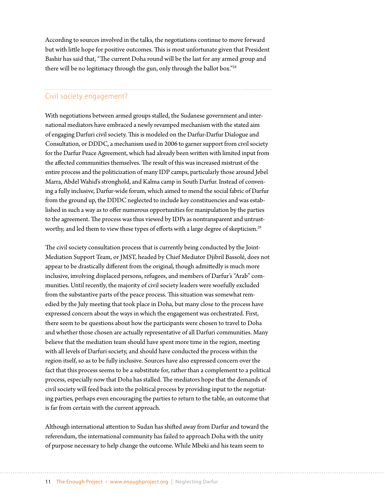According to sources involved in the talks, the negotiations continue to move forward but with little hope for positive outcomes. This is most unfortunate given that President Bashir has said that, "The current Doha round will be the last for any armed group and there will be no legitimacy through the gun, only through the ballot box."28

# Civil society engagement?

With negotiations between armed groups stalled, the Sudanese government and international mediators have embraced a newly revamped mechanism with the stated aim of engaging Darfuri civil society. This is modeled on the Darfur-Darfur Dialogue and Consultation, or DDDC, a mechanism used in 2006 to garner support from civil society for the Darfur Peace Agreement, which had already been written with limited input from the affected communities themselves. The result of this was increased mistrust of the entire process and the politicization of many IDP camps, particularly those around Jebel Marra, Abdel Wahid's stronghold, and Kalma camp in South Darfur. Instead of convening a fully inclusive, Darfur-wide forum, which aimed to mend the social fabric of Darfur from the ground up, the DDDC neglected to include key constituencies and was established in such a way as to offer numerous opportunities for manipulation by the parties to the agreement. The process was thus viewed by IDPs as nontransparent and untrustworthy, and led them to view these types of efforts with a large degree of skepticism.<sup>29</sup>

The civil society consultation process that is currently being conducted by the Joint-Mediation Support Team, or JMST, headed by Chief Mediator Djibril Bassolé, does not appear to be drastically different from the original, though admittedly is much more inclusive, involving displaced persons, refugees, and members of Darfur's "Arab" communities. Until recently, the majority of civil society leaders were woefully excluded from the substantive parts of the peace process. This situation was somewhat remedied by the July meeting that took place in Doha, but many close to the process have expressed concern about the ways in which the engagement was orchestrated. First, there seem to be questions about how the participants were chosen to travel to Doha and whether those chosen are actually representative of all Darfuri communities. Many believe that the mediation team should have spent more time in the region, meeting with all levels of Darfuri society, and should have conducted the process within the region itself, so as to be fully inclusive. Sources have also expressed concern over the fact that this process seems to be a substitute for, rather than a complement to a political process, especially now that Doha has stalled. The mediators hope that the demands of civil society will feed back into the political process by providing input to the negotiating parties, perhaps even encouraging the parties to return to the table, an outcome that is far from certain with the current approach.

Although international attention to Sudan has shifted away from Darfur and toward the referendum, the international community has failed to approach Doha with the unity of purpose necessary to help change the outcome. While Mbeki and his team seem to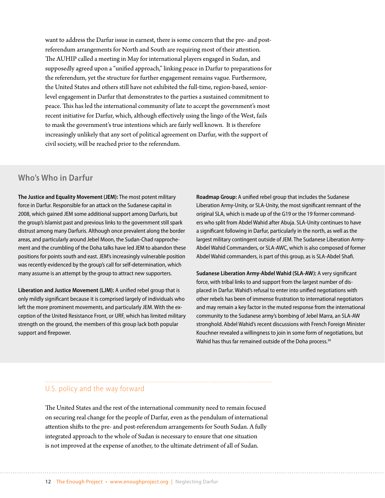want to address the Darfur issue in earnest, there is some concern that the pre- and postreferendum arrangements for North and South are requiring most of their attention. The AUHIP called a meeting in May for international players engaged in Sudan, and supposedly agreed upon a "unified approach," linking peace in Darfur to preparations for the referendum, yet the structure for further engagement remains vague. Furthermore, the United States and others still have not exhibited the full-time, region-based, seniorlevel engagement in Darfur that demonstrates to the parties a sustained commitment to peace. This has led the international community of late to accept the government's most recent initiative for Darfur, which, although effectively using the lingo of the West, fails to mask the government's true intentions which are fairly well known. It is therefore increasingly unlikely that any sort of political agreement on Darfur, with the support of civil society, will be reached prior to the referendum.

### **Who's Who in Darfur**

**The Justice and Equality Movement (JEM):** The most potent military force in Darfur. Responsible for an attack on the Sudanese capital in 2008, which gained JEM some additional support among Darfuris, but the group's Islamist past and previous links to the government still spark distrust among many Darfuris. Although once prevalent along the border areas, and particularly around Jebel Moon, the Sudan-Chad rapprochement and the crumbling of the Doha talks have led JEM to abandon these positions for points south and east. JEM's increasingly vulnerable position was recently evidenced by the group's call for self-determination, which many assume is an attempt by the group to attract new supporters.

**Liberation and Justice Movement (LJM):** A unified rebel group that is only mildly significant because it is comprised largely of individuals who left the more prominent movements, and particularly JEM. With the exception of the United Resistance Front, or URF, which has limited military strength on the ground, the members of this group lack both popular support and firepower.

**Roadmap Group:** A unified rebel group that includes the Sudanese Liberation Army-Unity, or SLA-Unity, the most significant remnant of the original SLA, which is made up of the [G19 or the 19 former command](http://www.enoughproject.org/publications/darfur-rebels-101)[ers](http://www.enoughproject.org/publications/darfur-rebels-101) who split from Abdel Wahid after Abuja. SLA-Unity continues to have a significant following in Darfur, particularly in the north, as well as the largest military contingent outside of JEM. The Sudanese Liberation Army-Abdel Wahid Commanders, or SLA-AWC, which is also composed of former Abdel Wahid commanders, is part of this group, as is SLA-Abdel Shafi.

**Sudanese Liberation Army-Abdel Wahid (SLA-AW):** A very significant force, with tribal links to and support from the largest number of displaced in Darfur. Wahid's refusal to enter into unified negotiations with other rebels has been of immense frustration to international negotiators and may remain a key factor in the muted response from the international community to the Sudanese army's bombing of Jebel Marra, an SLA-AW stronghold. Abdel Wahid's recent discussions with French Foreign Minister Kouchner revealed a willingness to join in some form of negotiations, but Wahid has thus far remained outside of the Doha process.<sup>30</sup>

## U.S. policy and the way forward

The United States and the rest of the international community need to remain focused on securing real change for the people of Darfur, even as the pendulum of international attention shifts to the pre- and post-referendum arrangements for South Sudan. A fully integrated approach to the whole of Sudan is necessary to ensure that one situation is not improved at the expense of another, to the ultimate detriment of all of Sudan.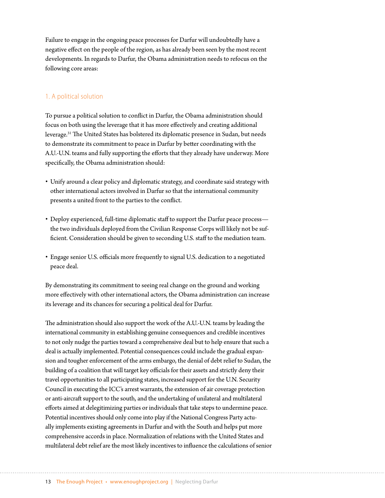Failure to engage in the ongoing peace processes for Darfur will undoubtedly have a negative effect on the people of the region, as has already been seen by the most recent developments. In regards to Darfur, the Obama administration needs to refocus on the following core areas:

#### 1. A political solution

To pursue a political solution to conflict in Darfur, the Obama administration should focus on both using the leverage that it has more effectively and creating additional leverage.31 The United States has bolstered its diplomatic presence in Sudan, but needs to demonstrate its commitment to peace in Darfur by better coordinating with the A.U.-U.N. teams and fully supporting the efforts that they already have underway. More specifically, the Obama administration should:

- • Unify around a clear policy and diplomatic strategy, and coordinate said strategy with other international actors involved in Darfur so that the international community presents a united front to the parties to the conflict.
- Deploy experienced, full-time diplomatic staff to support the Darfur peace process the two individuals deployed from the Civilian Response Corps will likely not be sufficient. Consideration should be given to seconding U.S. staff to the mediation team.
- • Engage senior U.S. officials more frequently to signal U.S. dedication to a negotiated peace deal.

By demonstrating its commitment to seeing real change on the ground and working more effectively with other international actors, the Obama administration can increase its leverage and its chances for securing a political deal for Darfur.

The administration should also support the work of the A.U.-U.N. teams by leading the international community in establishing genuine consequences and credible incentives to not only nudge the parties toward a comprehensive deal but to help ensure that such a deal is actually implemented. Potential consequences could include the gradual expansion and tougher enforcement of the arms embargo, the denial of debt relief to Sudan, the building of a coalition that will target key officials for their assets and strictly deny their travel opportunities to all participating states, increased support for the U.N. Security Council in executing the ICC's arrest warrants, the extension of air coverage protection or anti-aircraft support to the south, and the undertaking of unilateral and multilateral efforts aimed at delegitimizing parties or individuals that take steps to undermine peace. Potential incentives should only come into play if the National Congress Party actually implements existing agreements in Darfur and with the South and helps put more comprehensive accords in place. Normalization of relations with the United States and multilateral debt relief are the most likely incentives to influence the calculations of senior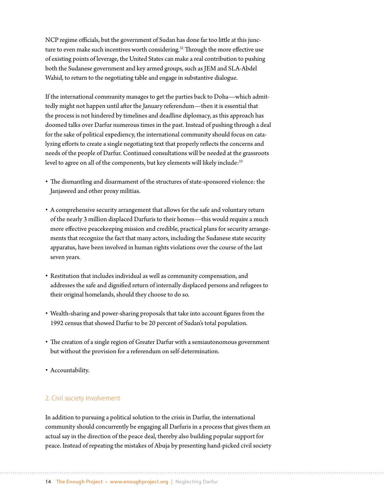NCP regime officials, but the government of Sudan has done far too little at this juncture to even make such incentives worth considering.<sup>32</sup> Through the more effective use of existing points of leverage, the United States can make a real contribution to pushing both the Sudanese government and key armed groups, such as JEM and SLA-Abdel Wahid, to return to the negotiating table and engage in substantive dialogue.

If the international community manages to get the parties back to Doha—which admittedly might not happen until after the January referendum—then it is essential that the process is not hindered by timelines and deadline diplomacy, as this approach has doomed talks over Darfur numerous times in the past. Instead of pushing through a deal for the sake of political expediency, the international community should focus on catalyzing efforts to create a single negotiating text that properly reflects the concerns and needs of the people of Darfur. Continued consultations will be needed at the grassroots level to agree on all of the components, but key elements will likely include:<sup>33</sup>

- • The dismantling and disarmament of the structures of state-sponsored violence: the Janjaweed and other proxy militias.
- • A comprehensive security arrangement that allows for the safe and voluntary return of the nearly 3 million displaced Darfuris to their homes—this would require a much more effective peacekeeping mission and credible, practical plans for security arrangements that recognize the fact that many actors, including the Sudanese state security apparatus, have been involved in human rights violations over the course of the last seven years.
- • Restitution that includes individual as well as community compensation, and addresses the safe and dignified return of internally displaced persons and refugees to their original homelands, should they choose to do so.
- • Wealth-sharing and power-sharing proposals that take into account figures from the 1992 census that showed Darfur to be 20 percent of Sudan's total population.
- The creation of a single region of Greater Darfur with a semiautonomous government but without the provision for a referendum on self-determination.
- • Accountability.

#### 2. Civil society involvement

In addition to pursuing a political solution to the crisis in Darfur, the international community should concurrently be engaging all Darfuris in a process that gives them an actual say in the direction of the peace deal, thereby also building popular support for peace. Instead of repeating the mistakes of Abuja by presenting hand-picked civil society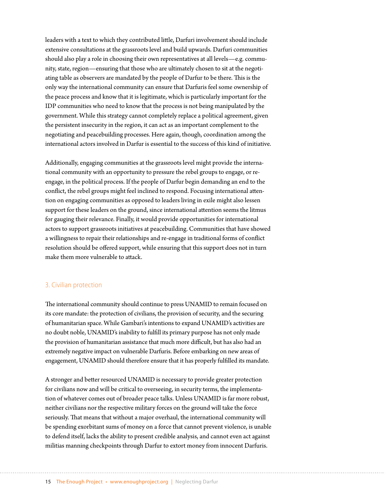leaders with a text to which they contributed little, Darfuri involvement should include extensive consultations at the grassroots level and build upwards. Darfuri communities should also play a role in choosing their own representatives at all levels—e.g. community, state, region—ensuring that those who are ultimately chosen to sit at the negotiating table as observers are mandated by the people of Darfur to be there. This is the only way the international community can ensure that Darfuris feel some ownership of the peace process and know that it is legitimate, which is particularly important for the IDP communities who need to know that the process is not being manipulated by the government. While this strategy cannot completely replace a political agreement, given the persistent insecurity in the region, it can act as an important complement to the negotiating and peacebuilding processes. Here again, though, coordination among the international actors involved in Darfur is essential to the success of this kind of initiative.

Additionally, engaging communities at the grassroots level might provide the international community with an opportunity to pressure the rebel groups to engage, or reengage, in the political process. If the people of Darfur begin demanding an end to the conflict, the rebel groups might feel inclined to respond. Focusing international attention on engaging communities as opposed to leaders living in exile might also lessen support for these leaders on the ground, since international attention seems the litmus for gauging their relevance. Finally, it would provide opportunities for international actors to support grassroots initiatives at peacebuilding. Communities that have showed a willingness to repair their relationships and re-engage in traditional forms of conflict resolution should be offered support, while ensuring that this support does not in turn make them more vulnerable to attack.

#### 3. Civilian protection

The international community should continue to press UNAMID to remain focused on its core mandate: the protection of civilians, the provision of security, and the securing of humanitarian space. While Gambari's intentions to expand UNAMID's activities are no doubt noble, UNAMID's inability to fulfill its primary purpose has not only made the provision of humanitarian assistance that much more difficult, but has also had an extremely negative impact on vulnerable Darfuris. Before embarking on new areas of engagement, UNAMID should therefore ensure that it has properly fulfilled its mandate.

A stronger and better resourced UNAMID is necessary to provide greater protection for civilians now and will be critical to overseeing, in security terms, the implementation of whatever comes out of broader peace talks. Unless UNAMID is far more robust, neither civilians nor the respective military forces on the ground will take the force seriously. That means that without a major overhaul, the international community will be spending exorbitant sums of money on a force that cannot prevent violence, is unable to defend itself, lacks the ability to present credible analysis, and cannot even act against militias manning checkpoints through Darfur to extort money from innocent Darfuris.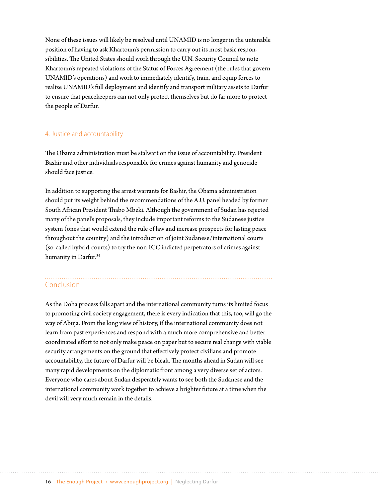None of these issues will likely be resolved until UNAMID is no longer in the untenable position of having to ask Khartoum's permission to carry out its most basic responsibilities. The United States should work through the U.N. Security Council to note Khartoum's repeated violations of the Status of Forces Agreement (the rules that govern UNAMID's operations) and work to immediately identify, train, and equip forces to realize UNAMID's full deployment and identify and transport military assets to Darfur to ensure that peacekeepers can not only protect themselves but do far more to protect the people of Darfur.

#### 4. Justice and accountability

The Obama administration must be stalwart on the issue of accountability. President Bashir and other individuals responsible for crimes against humanity and genocide should face justice.

In addition to supporting the arrest warrants for Bashir, the Obama administration should put its weight behind the recommendations of the A.U. panel headed by former South African President Thabo Mbeki. Although the government of Sudan has rejected many of the panel's proposals, they include important reforms to the Sudanese justice system (ones that would extend the rule of law and increase prospects for lasting peace throughout the country) and the introduction of joint Sudanese/international courts (so-called hybrid-courts) to try the non-ICC indicted perpetrators of crimes against humanity in Darfur.<sup>34</sup>

#### Conclusion

As the Doha process falls apart and the international community turns its limited focus to promoting civil society engagement, there is every indication that this, too, will go the way of Abuja. From the long view of history, if the international community does not learn from past experiences and respond with a much more comprehensive and better coordinated effort to not only make peace on paper but to secure real change with viable security arrangements on the ground that effectively protect civilians and promote accountability, the future of Darfur will be bleak. The months ahead in Sudan will see many rapid developments on the diplomatic front among a very diverse set of actors. Everyone who cares about Sudan desperately wants to see both the Sudanese and the international community work together to achieve a brighter future at a time when the devil will very much remain in the details.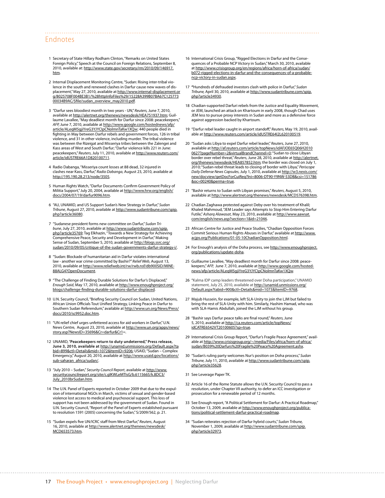#### Endnotes

- 1 Secretary of State Hillary Rodham Clinton, "Remarks on United States Foreign Policy," Speech at the Council on Foreign Relations, September 8, 2010, available at: [http://www.state.gov/secretary/rm/2010/09/146917.](http://www.state.gov/secretary/rm/2010/09/146917.htm) <u>[htm](http://www.state.gov/secretary/rm/2010/09/146917.htm)</u>.
- 2 Internal Displacement Monitoring Centre,"Sudan: Rising inter-tribal violence in the south and renewed clashes in Darfur cause new waves of displacement,"May 27, 2010, available at [http://www.internal-displacement.or](http://www.internal-displacement.org/8025708F004BE3B1/%28httpInfoFiles%29/15228A399B07BA67C12577300034B9AC/$file/sudan_overview_may2010.pdf) [g/8025708F004BE3B1/%28httpInfoFiles%29/15228A399B07BA67C125773](http://www.internal-displacement.org/8025708F004BE3B1/%28httpInfoFiles%29/15228A399B07BA67C12577300034B9AC/$file/sudan_overview_may2010.pdf) [00034B9AC/\\$file/sudan\\_overview\\_may2010.pdf](http://www.internal-displacement.org/8025708F004BE3B1/%28httpInfoFiles%29/15228A399B07BA67C12577300034B9AC/$file/sudan_overview_may2010.pdf).
- 3 "Darfur sees bloodiest month in two years UN,"*Reuters,* June 7, 2010, available at <u><http://alertnet.org/thenews/newsdesk/HEA751937.htm></u>; Guil-<br>laume Lavallee, "May deadliest month for Darfur since 2008: peacekeepers," *AFP,* June 7, 2010, available at [http://www.google.com/hostednews/afp/](http://www.google.com/hostednews/afp/article/ALeqM5gjiYreG3YJYCIpCNolmnTaKw1XQw) [article/ALeqM5gjiYreG3YJYCIpCNolmnTaKw1XQw;](http://www.google.com/hostednews/afp/article/ALeqM5gjiYreG3YJYCIpCNolmnTaKw1XQw) 440 people died in fighting in May between Darfur rebels and government forces, 126 in tribal violence, and 31 in other violence, including murder. The tribal violence was between the Rizeigat and Misseriya tribes between the Zalengei and Kass areas of West and South Darfur;"Darfur violence kills 221 in June: peacekeepers,"*Reuters*, July 11, 2010, available at [http://www.reuters.com/](http://www.reuters.com/article/idUSTRE66A1D820100711) [article/idUSTRE66A1D820100711.](http://www.reuters.com/article/idUSTRE66A1D820100711)
- 4 Radio Dabanga,"Misseriya count losses at 88 dead, 32 injured in clashes near Kass, Darfur,"*Radio Dabanga*, August 23, 2010, available at <http://195.190.28.213/node/3505>.
- 5 Human Rights Watch,"Darfur Documents Confirm Government Policy of Militia Support," July 20, 2004, available at [http://www.hrw.org/english/](http://www.hrw.org/english/docs/2004/07/19/darfur9096.htm) [docs/2004/07/19/darfur9096.htm.](http://www.hrw.org/english/docs/2004/07/19/darfur9096.htm)
- 6 "AU, UNAMID, and US Support Sudan's New Strategy in Darfur," *Sudan Tribune*, August 27, 2010, available at [http://www.sudantribune.com/spip.](http://www.sudantribune.com/spip.php?article36080) [php?article36080](http://www.sudantribune.com/spip.php?article36080).
- 7 "Sudanese president forms new committee on Darfur," *Sudan Tribune*, July 27, 2010, available at [http://www.sudantribune.com/spip.](http://www.sudantribune.com/spip.php?article35769) <u>[php?article35769](http://www.sudantribune.com/spip.php?article35769)</u>; Tag Elkhazin, "Towards a New Strategy for Achieving<br>Comprehensive Peace, Security and Development in Darfur," Making Sense of Sudan, September 5, 2010, available at [http://blogs.ssrc.org/](http://blogs.ssrc.org/sudan/2010/09/05/critique-of-the-sudan-governments-darfur-strategy-i/) [sudan/2010/09/05/critique-of-the-sudan-governments-darfur-strategy-i/](http://blogs.ssrc.org/sudan/2010/09/05/critique-of-the-sudan-governments-darfur-strategy-i/).
- 8 "Sudan: Blockade of humanitarian aid in Darfur violates international law - another war crime committed by Bashir?"*Relief Web*, August 13, 2010, available at [http://www.reliefweb.int/rw/rwb.nsf/db900SID/MINE-](http://www.reliefweb.int/rw/rwb.nsf/db900SID/MINE-88ALG4?OpenDocument)[88ALG4?OpenDocument.](http://www.reliefweb.int/rw/rwb.nsf/db900SID/MINE-88ALG4?OpenDocument)
- 9 "The Challenge of Finding Durable Solutions for Darfur's Displaced," *Enough Said*, May 17, 2010, available at [http://www.enoughproject.org/](http://www.enoughproject.org/blogs/challenge-finding-durable-solutions-darfur-displaced) [blogs/challenge-finding-durable-solutions-darfur-displaced](http://www.enoughproject.org/blogs/challenge-finding-durable-solutions-darfur-displaced).
- 10 U.N. Security Council,"Briefing Security Council on Sudan, United Nations, African Union Officials Tout Unified Strategy, Linking Peace in Darfur to Southern Sudan Referendum," available at [http://www.un.org/News/Press/](http://www.un.org/News/Press/docs/2010/sc9952.doc.htm) [docs/2010/sc9952.doc.htm](http://www.un.org/News/Press/docs/2010/sc9952.doc.htm).
- 11 "UN relief chief urges unfettered access for aid workers in Darfur,"U.N. News Centre, August 23, 2010, available at [http://www.un.org/apps/news/](http://www.un.org/apps/news/story.asp?NewsID=35696&Cr=darfur&Cr1) [story.asp?NewsID=35696&Cr=darfur&Cr1=](http://www.un.org/apps/news/story.asp?NewsID=35696&Cr=darfur&Cr1).
- 12 UNAMID,"**Peacekeepers return to duty undeterred," Press release, June 3, 2010, available at** [http://unamid.unmissions.org/Default.aspx?ta](http://unamid.unmissions.org/Default.aspx?tabid=899&ctl=Details&mid=1072&ItemID=9206) [bid=899&ctl=Details&mid=1072&ItemID=9206](http://unamid.unmissions.org/Default.aspx?tabid=899&ctl=Details&mid=1072&ItemID=9206); USAID,"Sudan – Complex Emergency," August 20, 2010, available at [http://www.usaid.gov/locations/](http://www.usaid.gov/locations/sub-saharan_africa/sudan/) [sub-saharan\\_africa/sudan/](http://www.usaid.gov/locations/sub-saharan_africa/sudan/).
- 13 "July 2010 Sudan," *Security Council Report*, available at [http://www.](http://www.securitycouncilreport.org/site/c.glKWLeMTIsG/b.6115665/k.8DC3/July_2010brSudan.htm) [securitycouncilreport.org/site/c.glKWLeMTIsG/b.6115665/k.8DC3/](http://www.securitycouncilreport.org/site/c.glKWLeMTIsG/b.6115665/k.8DC3/July_2010brSudan.htm) [July\\_2010brSudan.htm.](http://www.securitycouncilreport.org/site/c.glKWLeMTIsG/b.6115665/k.8DC3/July_2010brSudan.htm)
- 14 The U.N. Panel of Experts reported in October 2009 that due to the expulsion of international NGOs in March, victims of sexual and gender-based violence lost access to medical and psychosocial support. This loss of support has not been addressed by the government of Sudan. Found in U.N. Security Council,"Report of the Panel of Experts established pursuant to resolution 1591 (2005) concerning the Sudan," S/2009/562, p. 21.
- 15 "Sudan expels five UN/ICRC staff from West Darfur,"*Reuters*, August 16, 2010, available at [http://www.alertnet.org/thenews/newsdesk/](http://www.alertnet.org/thenews/newsdesk/MCD653573.htm) [MCD653573.htm.](http://www.alertnet.org/thenews/newsdesk/MCD653573.htm)
- 16 International Crisis Group,"Rigged Elections in Darfur and the Consequences of a Probable NCP Victory in Sudan,"March 30, 2010, available at [http://www.crisisgroup.org/en/regions/africa/horn-of-africa/sudan/](http://www.crisisgroup.org/en/regions/africa/horn-of-africa/sudan/b072-rigged-elections-in-darfur-and-the-consequences-of-a-probable-ncp-victory-in-sudan.aspx) [b072-rigged-elections-in-darfur-and-the-consequences-of-a-probable](http://www.crisisgroup.org/en/regions/africa/horn-of-africa/sudan/b072-rigged-elections-in-darfur-and-the-consequences-of-a-probable-ncp-victory-in-sudan.aspx)[ncp-victory-in-sudan.aspx.](http://www.crisisgroup.org/en/regions/africa/horn-of-africa/sudan/b072-rigged-elections-in-darfur-and-the-consequences-of-a-probable-ncp-victory-in-sudan.aspx)
- 17 **"**Hundreds of defrauded investors clash with police in Darfur," *Sudan Tribune,* April 30, 2010, available at [http://www.sudantribune.com/spip.](http://www.sudantribune.com/spip.php?article34930) [php?article34930.](http://www.sudantribune.com/spip.php?article34930)
- 18 Chadian-supported Darfuri rebels from the Justice and Equality Movement, or JEM, launched an attack on Khartoum in early 2008, though Chad uses JEM less to pursue proxy interests in Sudan and more as a defensive force against aggression backed by Khartoum.
- 19 "Darfur rebel leader caught in airport standoff,"*Reuters,* May 19, 2010, available at [http://www.reuters.com/article/idUSTRE64I2L620100519.](http://www.reuters.com/article/idUSTRE64I2L620100519)
- 20 "Sudan asks Libya to expel Darfur rebel leader,"*Reuters,* June 27, 2010, available at <u>[http://af.reuters.com/article/topNews/idAFJOE65Q06H2010](http://af.reuters.com/article/topNews/idAFJOE65Q06H20100627?pageNumber=2&virtualBrandChannel=0)</u><br><u>0627?pageNumber=2&virtualBrandChannel=0</u>; "Sudan to close Libyan border over rebel threat," Reuters, June 28, 2010, available at [http://alertnet.](http://alertnet.org/thenews/newsdesk/HEA857852.htm) [org/thenews/newsdesk/HEA857852.htm](http://alertnet.org/thenews/newsdesk/HEA857852.htm); the border was closed on July 1, 2010;"Sudan-rebel threat leads to closing of border with Libya,"*Periscope Daily Defense News Capsules*, July 1, 2010, available at [http://w3.nexis.com/](http://w3.nexis.com/new/docview/getDocForCuiReq?lni=8006-DT90-Y9NW-53DB&csi=151786&oc=00240&perma=true) [new/docview/getDocForCuiReq?lni=8006-DT90-Y9NW-53DB&csi=151786](http://w3.nexis.com/new/docview/getDocForCuiReq?lni=8006-DT90-Y9NW-53DB&csi=151786&oc=00240&perma=true) [&oc=00240&perma=true](http://w3.nexis.com/new/docview/getDocForCuiReq?lni=8006-DT90-Y9NW-53DB&csi=151786&oc=00240&perma=true).
- 21 "Bashir returns to Sudan with Libyan promises,"*Reuters*, August 5, 2010, available at <http://www.alertnet.org/thenews/newsdesk/MCD576398.htm>.
- 22 Chadian Zaghawa protested against Deby over his treatment of Khalil; Khaled Mahmoud,"JEM Leader says Attempts to Stop Him Entering Darfur Futile," *Asharq Alawasat*, May 23, 2010, available at [http://www.aawsat.](http://www.aawsat.com/english/news.asp?section=1&id=21046) [com/english/news.asp?section=1&id=21046.](http://www.aawsat.com/english/news.asp?section=1&id=21046)
- 23 African Centre for Justice and Peace Studies,"Chadian Opposition Forces Commit Serious Human Rights Abuses in Darfur," available at [http://www.](http://www.acjps.org/Publications/01-05-10ChadianOpposition.html) [acjps.org/Publications/01-05-10ChadianOpposition.html](http://www.acjps.org/Publications/01-05-10ChadianOpposition.html).
- 24 For Enough's analysis of the Doha process, see [http://www.enoughproject.](http://www.enoughproject.org/publications/update-doha) [org/publications/update-doha](http://www.enoughproject.org/publications/update-doha).
- 25 Guillaume Lavallee,"May deadliest month for Darfur since 2008: peacekeepers,"*AFP,* June 7, 2010, available at [http://www.google.com/hosted](http://www.google.com/hostednews/afp/article/ALeqM5gjiYreG3YJYCIpCNolmnTaKw1XQw)[news/afp/article/ALeqM5gjiYreG3YJYCIpCNolmnTaKw1XQw](http://www.google.com/hostednews/afp/article/ALeqM5gjiYreG3YJYCIpCNolmnTaKw1XQw).
- 26 "Kalma IDP camp leaders threatened over Doha participation,"UNAMID statement, July 25, 2010, available at [http://unamid.unmissions.org/](http://unamid.unmissions.org/Default.aspx?tabid=900&ctl=Details&mid=1073&ItemID=9768) [Default.aspx?tabid=900&ctl=Details&mid=1073&ItemID=9768](http://unamid.unmissions.org/Default.aspx?tabid=900&ctl=Details&mid=1073&ItemID=9768).
- 27 Majub Hussein, for example, left SLA-Unity to join the LJM but failed to bring the rest of SLA-Unity with him. Similarly, Hashim Hamad, who was with SLA-Hamis Abdullah, joined the LJM without his group.
- 28 "Bashir says Darfur peace talks are final round,"*Reuters,* June 5, 2010, available at [http://ca.reuters.com/article/topNews/](http://ca.reuters.com/article/topNews/idCATRE6542VT20100605?sp=true) [idCATRE6542VT20100605?sp=true.](http://ca.reuters.com/article/topNews/idCATRE6542VT20100605?sp=true)
- 29 International Crisis Group Report,"Darfur's Fragile Peace Agreement," available at [http://www.crisisgroup.org/~/media/Files/africa/horn-of-africa/](http://www.crisisgroup.org/~/media/Files/africa/horn-of-africa/sudan/B039 Darfurs Fragile Peace Agreement.ashx) [sudan/B039%20Darfurs%20Fragile%20Peace%20Agreement.ashx](http://www.crisisgroup.org/~/media/Files/africa/horn-of-africa/sudan/B039 Darfurs Fragile Peace Agreement.ashx).
- 30 "Sudan's ruling party welcomes Nur's position on Doha process," *Sudan Tribune,* July 11, 2010, available at [http://www.sudantribune.com/spip.](http://www.sudantribune.com/spip.php?article35628) [php?article35628.](http://www.sudantribune.com/spip.php?article35628)
- 31 See Leverage Paper TK.

- 32 Article 16 of the Rome Statute allows the U.N. Security Council to pass a resolution, under Chapter VII authority, to defer an ICC investigation or prosecution for a renewable period of 12 months.
- 33 See Enough report,"A Political Settlement for Darfur: A Practical Roadmap," October 13, 2009, available at [http://www.enoughproject.org/publica](http://www.enoughproject.org/publications/political-settlement-darfur-practical-roadmap)[tions/political-settlement-darfur-practical-roadmap.](http://www.enoughproject.org/publications/political-settlement-darfur-practical-roadmap)
- 34 "Sudan reiterates rejection of Darfur hybrid courts," *Sudan Tribune,* November 1, 2009, available at [http://www.sudantribune.com/spip.](http://www.sudantribune.com/spip.php?article32973) [php?article32973.](http://www.sudantribune.com/spip.php?article32973)